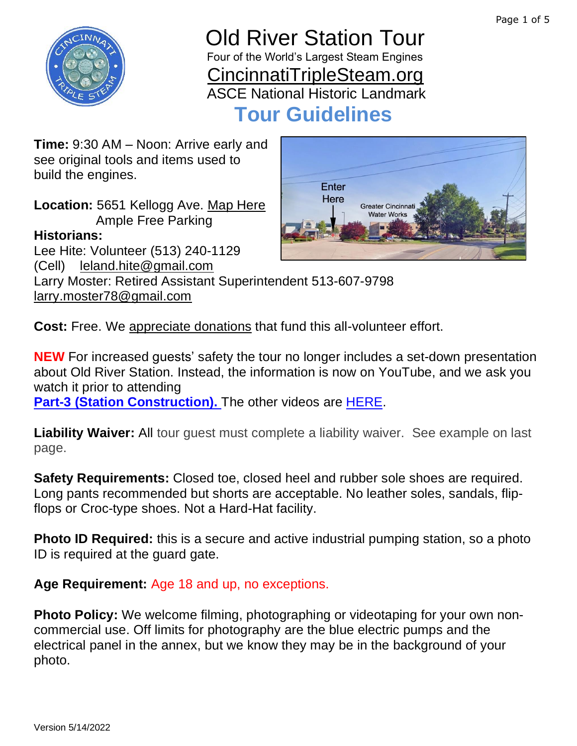

### Old River Station Tour Four of the World's Largest Steam Engines [CincinnatiTripleSteam.org](https://cincinnatitriplesteam.org/) ASCE National Historic Landmark

 **Tour Guidelines**

**Time:** 9:30 AM – Noon: Arrive early and see original tools and items used to build the engines.

**Location:** 5651 Kellogg Ave. [Map Here](https://goo.gl/maps/E6yqVqiPSEbeLkn89) Ample Free Parking

### **Historians:**

Lee Hite: Volunteer (513) 240-1129 (Cell) [leland.hite@gmail.com](mailto:leland.hite@gmail.com)

Larry Moster: Retired Assistant Superintendent 513-607-9798 [larry.moster78@gmail.com](mailto:larry.moster78@gmail.com)

**Cost:** Free. We [appreciate](https://www.paypal.com/donate?business=WHL7WSXBUCT9E&item_name=Cincinnati+Triple+Steam¤cy_code=USD) donations that fund this all-volunteer effort.

**NEW** For increased guests' safety the tour no longer includes a set-down presentation about Old River Station. Instead, the information is now on YouTube, and we ask you watch it prior to attending

[Part-3 \(Station Construction\).](https://youtu.be/SChL5vMfmP0) The other videos are **HERE**.

**Liability Waiver:** All tour guest must complete a liability waiver. See example on last page.

**Safety Requirements:** Closed toe, closed heel and rubber sole shoes are required. Long pants recommended but shorts are acceptable. No leather soles, sandals, flipflops or Croc-type shoes. Not a Hard-Hat facility.

**Photo ID Required:** this is a secure and active industrial pumping station, so a photo ID is required at the guard gate.

**Age Requirement:** Age 18 and up, no exceptions.

**Photo Policy:** We welcome filming, photographing or videotaping for your own noncommercial use. Off limits for photography are the blue electric pumps and the electrical panel in the annex, but we know they may be in the background of your photo.

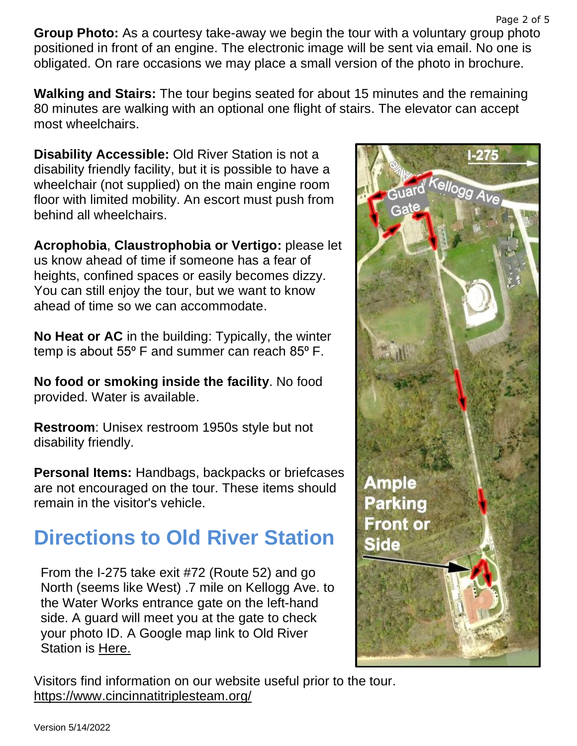**Group Photo:** As a courtesy take-away we begin the tour with a voluntary group photo positioned in front of an engine. The electronic image will be sent via email. No one is obligated. On rare occasions we may place a small version of the photo in brochure.

**Walking and Stairs:** The tour begins seated for about 15 minutes and the remaining 80 minutes are walking with an optional one flight of stairs. The elevator can accept most wheelchairs.

**Disability Accessible:** Old River Station is not a disability friendly facility, but it is possible to have a wheelchair (not supplied) on the main engine room floor with limited mobility. An escort must push from behind all wheelchairs.

**Acrophobia**, **Claustrophobia or Vertigo:** please let us know ahead of time if someone has a fear of heights, confined spaces or easily becomes dizzy. You can still enjoy the tour, but we want to know ahead of time so we can accommodate.

**No Heat or AC** in the building: Typically, the winter temp is about  $55^{\circ}$  F and summer can reach  $85^{\circ}$  F.

**No food or smoking inside the facility**. No food provided. Water is available.

**Restroom**: Unisex restroom 1950s style but not disability friendly.

**Personal Items:** Handbags, backpacks or briefcases are not encouraged on the tour. These items should remain in the visitor's vehicle.

# **Directions to Old River Station**

From the I-275 take exit #72 (Route 52) and go North (seems like West) .7 mile on Kellogg Ave. to the Water Works entrance gate on the left-hand side. A guard will meet you at the gate to check your photo ID. A Google map link to Old River Station is [Here.](https://goo.gl/maps/vq3D4EHjfC9t9L3K8)



Visitors find information on our website useful prior to the tour. <https://www.cincinnatitriplesteam.org/>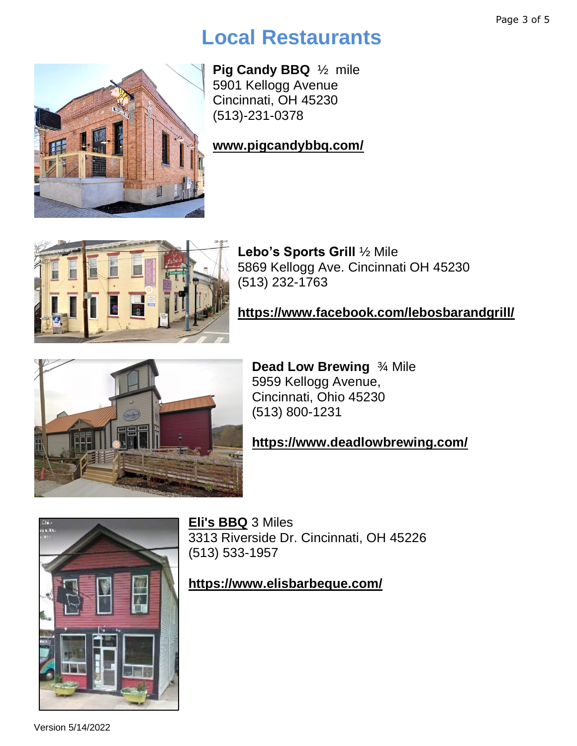## **Local Restaurants**

**Pig Candy BBQ** ½ mile 5901 Kellogg Avenue Cincinnati, OH 45230 (513)-231-0378

### **[www.pigcandybbq.com/](http://www.pigcandybbq.com/)**



**Lebo's Sports Grill** ½ Mile 5869 Kellogg Ave. Cincinnati OH 45230 (513) 232-1763

#### **<https://www.facebook.com/lebosbarandgrill/>**



**Dead Low Brewing** ¾ Mile 5959 Kellogg Avenue, Cincinnati, Ohio 45230 (513) 800-1231

### **<https://www.deadlowbrewing.com/>**



**[Eli's BBQ](http://www.elisbarbeque.com/)** 3 Miles 3313 Riverside Dr. Cincinnati, OH 45226 (513) 533-1957

#### **<https://www.elisbarbeque.com/>**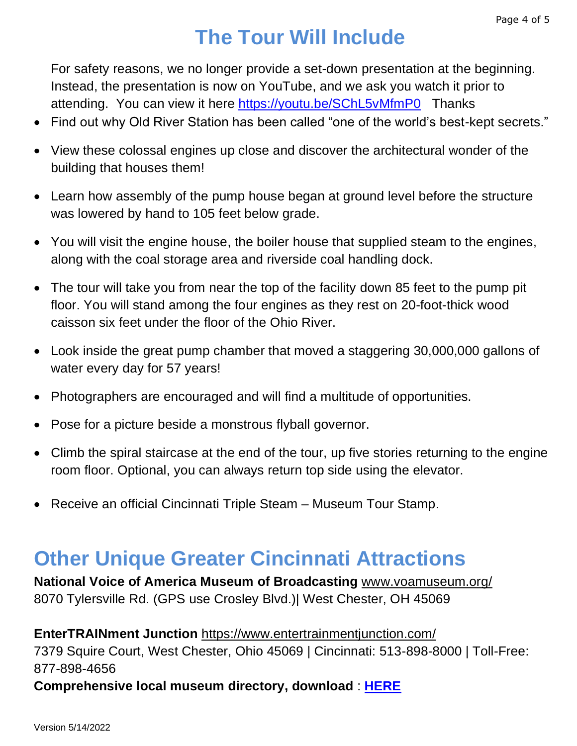# **The Tour Will Include**

For safety reasons, we no longer provide a set-down presentation at the beginning. Instead, the presentation is now on YouTube, and we ask you watch it prior to attending. You can view it here<https://youtu.be/SChL5vMfmP0>Thanks

- Find out why Old River Station has been called "one of the world's best-kept secrets."
- View these colossal engines up close and discover the architectural wonder of the building that houses them!
- Learn how assembly of the pump house began at ground level before the structure was lowered by hand to 105 feet below grade.
- You will visit the engine house, the boiler house that supplied steam to the engines, along with the coal storage area and riverside coal handling dock.
- The tour will take you from near the top of the facility down 85 feet to the pump pit floor. You will stand among the four engines as they rest on 20-foot-thick wood caisson six feet under the floor of the Ohio River.
- Look inside the great pump chamber that moved a staggering 30,000,000 gallons of water every day for 57 years!
- Photographers are encouraged and will find a multitude of opportunities.
- Pose for a picture beside a monstrous flyball governor.
- Climb the spiral staircase at the end of the tour, up five stories returning to the engine room floor. Optional, you can always return top side using the elevator.
- Receive an official Cincinnati Triple Steam Museum Tour Stamp.

## **Other Unique Greater Cincinnati Attractions**

**National Voice of America Museum of Broadcasting** [www.voamuseum.org/](http://www.voamuseum.org/) 8070 Tylersville Rd. (GPS use Crosley Blvd.)| West Chester, OH 45069

### **EnterTRAINment Junction** <https://www.entertrainmentjunction.com/> 7379 Squire Court, West Chester, Ohio 45069 | Cincinnati: 513-898-8000 | Toll-Free: 877-898-4656

**Comprehensive local museum directory, download** : **[HERE](https://drive.google.com/file/d/1JhygXJGv0in7eC8trJOD-aGTPtqKlXUp/view?usp=sharing)**